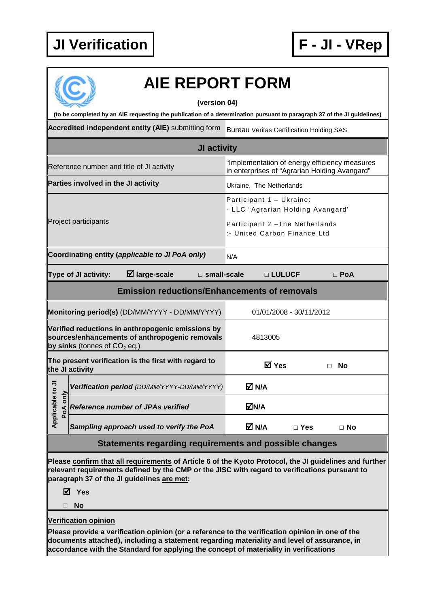

| <b>AIE REPORT FORM</b>                                                                                                  |                                                                                                |  |  |  |  |  |
|-------------------------------------------------------------------------------------------------------------------------|------------------------------------------------------------------------------------------------|--|--|--|--|--|
| (version 04)                                                                                                            |                                                                                                |  |  |  |  |  |
| (to be completed by an AIE requesting the publication of a determination pursuant to paragraph 37 of the JI guidelines) |                                                                                                |  |  |  |  |  |
| Accredited independent entity (AIE) submitting form                                                                     | <b>Bureau Veritas Certification Holding SAS</b>                                                |  |  |  |  |  |
| <b>JI activity</b>                                                                                                      |                                                                                                |  |  |  |  |  |
| Reference number and title of JI activity                                                                               | "Implementation of energy efficiency measures<br>in enterprises of "Agrarian Holding Avangard" |  |  |  |  |  |
| Parties involved in the JI activity                                                                                     | Ukraine, The Netherlands                                                                       |  |  |  |  |  |
|                                                                                                                         | Participant 1 - Ukraine:<br>- LLC "Agrarian Holding Avangard'                                  |  |  |  |  |  |
| Project participants                                                                                                    | Participant 2 - The Netherlands<br>:- United Carbon Finance Ltd                                |  |  |  |  |  |
| Coordinating entity (applicable to JI PoA only)                                                                         | N/A                                                                                            |  |  |  |  |  |
| $\boxtimes$ large-scale<br>Type of JI activity:                                                                         | □ LULUCF<br>$\Box$ small-scale<br>$\Box$ PoA                                                   |  |  |  |  |  |
| <b>Emission reductions/Enhancements of removals</b>                                                                     |                                                                                                |  |  |  |  |  |
|                                                                                                                         |                                                                                                |  |  |  |  |  |

| Monitoring period(s) (DD/MM/YYYY - DD/MM/YYYY)                                                                                        |                                             | 01/01/2008 - 30/11/2012 |            |           |  |
|---------------------------------------------------------------------------------------------------------------------------------------|---------------------------------------------|-------------------------|------------|-----------|--|
| Verified reductions in anthropogenic emissions by<br>sources/enhancements of anthropogenic removals<br>by sinks (tonnes of $CO2$ eq.) |                                             | 4813005                 |            |           |  |
| The present verification is the first with regard to<br>the JI activity                                                               |                                             | ☑ Yes                   |            | <b>No</b> |  |
|                                                                                                                                       | Verification period (DD/MM/YYYY-DD/MM/YYYY) | M N/A                   |            |           |  |
| Applicable to JI<br>only<br>PoA                                                                                                       | <b>Reference number of JPAs verified</b>    | <b>⊠N/A</b>             |            |           |  |
|                                                                                                                                       | Sampling approach used to verify the PoA    | M N/A                   | $\Box$ Yes | $\Box$ No |  |
| Statements regarding requirements and possible changes                                                                                |                                             |                         |            |           |  |

**Please confirm that all requirements of Article 6 of the Kyoto Protocol, the JI guidelines and further relevant requirements defined by the CMP or the JISC with regard to verifications pursuant to paragraph 37 of the JI guidelines are met:** 

**Yes** 

**No** 

**Verification opinion**

**Please provide a verification opinion (or a reference to the verification opinion in one of the documents attached), including a statement regarding materiality and level of assurance, in accordance with the Standard for applying the concept of materiality in verifications**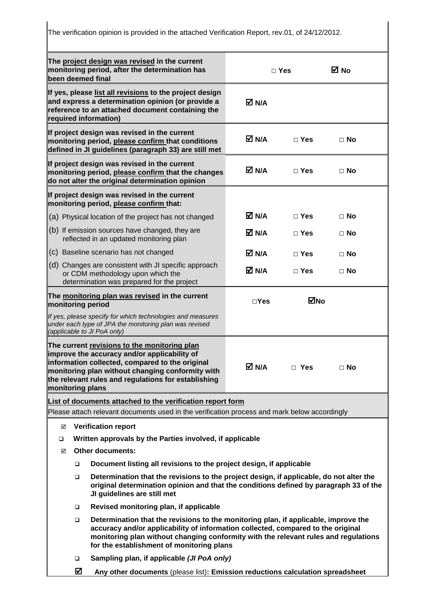The verification opinion is provided in the attached Verification Report, rev.01, of 24/12/2012.

| The project design was revised in the current<br>monitoring period, after the determination has<br>been deemed final                                |                                                                                                                                                                                                                                                                                                             | $\Box$ Yes |            | ⊠ No      |  |
|-----------------------------------------------------------------------------------------------------------------------------------------------------|-------------------------------------------------------------------------------------------------------------------------------------------------------------------------------------------------------------------------------------------------------------------------------------------------------------|------------|------------|-----------|--|
|                                                                                                                                                     | If yes, please list all revisions to the project design<br>and express a determination opinion (or provide a<br>reference to an attached document containing the<br>required information)                                                                                                                   | M N/A      |            |           |  |
|                                                                                                                                                     | If project design was revised in the current<br>monitoring period, please confirm that conditions<br>defined in JI guidelines (paragraph 33) are still met                                                                                                                                                  | M N/A      | $\Box$ Yes | $\Box$ No |  |
|                                                                                                                                                     | If project design was revised in the current<br>monitoring period, please confirm that the changes<br>do not alter the original determination opinion                                                                                                                                                       | M N/A      | $\Box$ Yes | $\Box$ No |  |
|                                                                                                                                                     | If project design was revised in the current<br>monitoring period, please confirm that:                                                                                                                                                                                                                     |            |            |           |  |
|                                                                                                                                                     | (a) Physical location of the project has not changed                                                                                                                                                                                                                                                        | M N/A      | $\Box$ Yes | $\Box$ No |  |
|                                                                                                                                                     | (b) If emission sources have changed, they are<br>reflected in an updated monitoring plan                                                                                                                                                                                                                   | M N/A      | $\Box$ Yes | $\Box$ No |  |
|                                                                                                                                                     | (c) Baseline scenario has not changed                                                                                                                                                                                                                                                                       | M N/A      | $\Box$ Yes | $\Box$ No |  |
|                                                                                                                                                     | (d) Changes are consistent with JI specific approach<br>or CDM methodology upon which the<br>determination was prepared for the project                                                                                                                                                                     | M N/A      | $\Box$ Yes | $\Box$ No |  |
|                                                                                                                                                     | The monitoring plan was revised in the current<br>monitoring period                                                                                                                                                                                                                                         |            | ⊠No        |           |  |
| If yes, please specify for which technologies and measures<br>under each type of JPA the monitoring plan was revised<br>(applicable to JI PoA only) |                                                                                                                                                                                                                                                                                                             |            |            |           |  |
| monitoring plans                                                                                                                                    | The current revisions to the monitoring plan<br>improve the accuracy and/or applicability of<br>information collected, compared to the original<br>monitoring plan without changing conformity with<br>the relevant rules and regulations for establishing                                                  | M N/A      | $\Box$ Yes | $\Box$ No |  |
|                                                                                                                                                     | List of documents attached to the verification report form                                                                                                                                                                                                                                                  |            |            |           |  |
|                                                                                                                                                     | Please attach relevant documents used in the verification process and mark below accordingly                                                                                                                                                                                                                |            |            |           |  |
| ☑                                                                                                                                                   | <b>Verification report</b>                                                                                                                                                                                                                                                                                  |            |            |           |  |
| □                                                                                                                                                   | Written approvals by the Parties involved, if applicable                                                                                                                                                                                                                                                    |            |            |           |  |
| ☑                                                                                                                                                   | <b>Other documents:</b>                                                                                                                                                                                                                                                                                     |            |            |           |  |
| ▫                                                                                                                                                   | Document listing all revisions to the project design, if applicable                                                                                                                                                                                                                                         |            |            |           |  |
| $\Box$                                                                                                                                              | Determination that the revisions to the project design, if applicable, do not alter the<br>original determination opinion and that the conditions defined by paragraph 33 of the<br>JI guidelines are still met                                                                                             |            |            |           |  |
| $\Box$                                                                                                                                              | Revised monitoring plan, if applicable                                                                                                                                                                                                                                                                      |            |            |           |  |
| $\Box$                                                                                                                                              | Determination that the revisions to the monitoring plan, if applicable, improve the<br>accuracy and/or applicability of information collected, compared to the original<br>monitoring plan without changing conformity with the relevant rules and regulations<br>for the establishment of monitoring plans |            |            |           |  |
| $\Box$                                                                                                                                              | Sampling plan, if applicable (JI PoA only)                                                                                                                                                                                                                                                                  |            |            |           |  |
| ☑                                                                                                                                                   | Any other documents (please list): Emission reductions calculation spreadsheet                                                                                                                                                                                                                              |            |            |           |  |